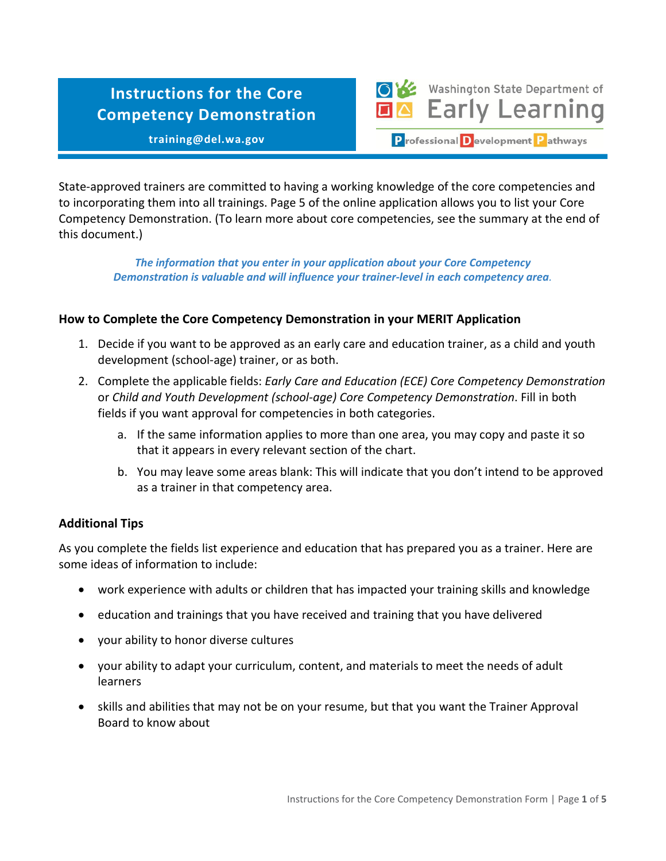# **Instructions for the Core Competency Demonstration**

**training@del.wa.gov**

Washington State Department of **Early Learning** P rofessional D evelopment P athways

State-approved trainers are committed to having a working knowledge of the core competencies and to incorporating them into all trainings. Page 5 of the online application allows you to list your Core Competency Demonstration. (To learn more about core competencies, see the summary at the end of this document.)

*The information that you enter in your application about your Core Competency Demonstration is valuable and will influence your trainer-level in each competency area.*

# **How to Complete the Core Competency Demonstration in your MERIT Application**

- 1. Decide if you want to be approved as an early care and education trainer, as a child and youth development (school-age) trainer, or as both.
- 2. Complete the applicable fields: *Early Care and Education (ECE) Core Competency Demonstration* or *Child and Youth Development (school-age) Core Competency Demonstration*. Fill in both fields if you want approval for competencies in both categories.
	- a. If the same information applies to more than one area, you may copy and paste it so that it appears in every relevant section of the chart.
	- b. You may leave some areas blank: This will indicate that you don't intend to be approved as a trainer in that competency area.

#### **Additional Tips**

As you complete the fields list experience and education that has prepared you as a trainer. Here are some ideas of information to include:

- work experience with adults or children that has impacted your training skills and knowledge
- education and trainings that you have received and training that you have delivered
- your ability to honor diverse cultures
- your ability to adapt your curriculum, content, and materials to meet the needs of adult learners
- skills and abilities that may not be on your resume, but that you want the Trainer Approval Board to know about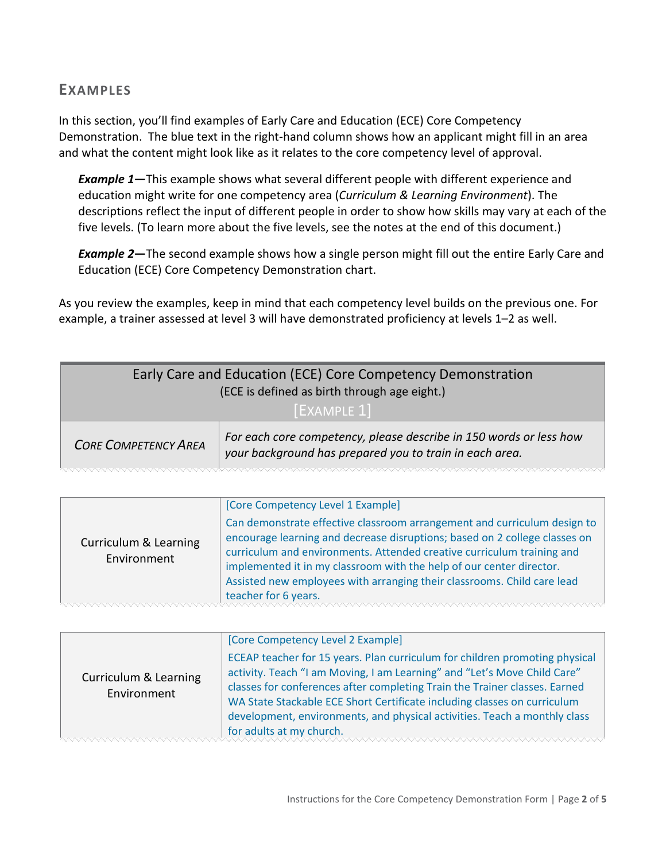# **EXAMPLES**

In this section, you'll find examples of Early Care and Education (ECE) Core Competency Demonstration. The blue text in the right-hand column shows how an applicant might fill in an area and what the content might look like as it relates to the core competency level of approval.

*Example 1***—**This example shows what several different people with different experience and education might write for one competency area (*Curriculum & Learning Environment*). The descriptions reflect the input of different people in order to show how skills may vary at each of the five levels. (To learn more about the five levels, see the notes at the end of this document.)

*Example 2***—**The second example shows how a single person might fill out the entire Early Care and Education (ECE) Core Competency Demonstration chart.

As you review the examples, keep in mind that each competency level builds on the previous one. For example, a trainer assessed at level 3 will have demonstrated proficiency at levels 1–2 as well.

| Early Care and Education (ECE) Core Competency Demonstration<br>(ECE is defined as birth through age eight.)<br><b>EXAMPLE 11</b> |                                                                                                                               |
|-----------------------------------------------------------------------------------------------------------------------------------|-------------------------------------------------------------------------------------------------------------------------------|
| <b>CORE COMPETENCY AREA</b>                                                                                                       | For each core competency, please describe in 150 words or less how<br>your background has prepared you to train in each area. |

| Curriculum & Learning<br>Environment | [Core Competency Level 1 Example]<br>Can demonstrate effective classroom arrangement and curriculum design to<br>encourage learning and decrease disruptions; based on 2 college classes on<br>curriculum and environments. Attended creative curriculum training and<br>implemented it in my classroom with the help of our center director. |
|--------------------------------------|-----------------------------------------------------------------------------------------------------------------------------------------------------------------------------------------------------------------------------------------------------------------------------------------------------------------------------------------------|
|                                      | Assisted new employees with arranging their classrooms. Child care lead<br>teacher for 6 years.                                                                                                                                                                                                                                               |

| Curriculum & Learning<br>Environment | [Core Competency Level 2 Example]<br>ECEAP teacher for 15 years. Plan curriculum for children promoting physical<br>activity. Teach "I am Moving, I am Learning" and "Let's Move Child Care" |
|--------------------------------------|----------------------------------------------------------------------------------------------------------------------------------------------------------------------------------------------|
|                                      | WA State Stackable ECE Short Certificate including classes on curriculum<br>development, environments, and physical activities. Teach a monthly class<br>for adults at my church.            |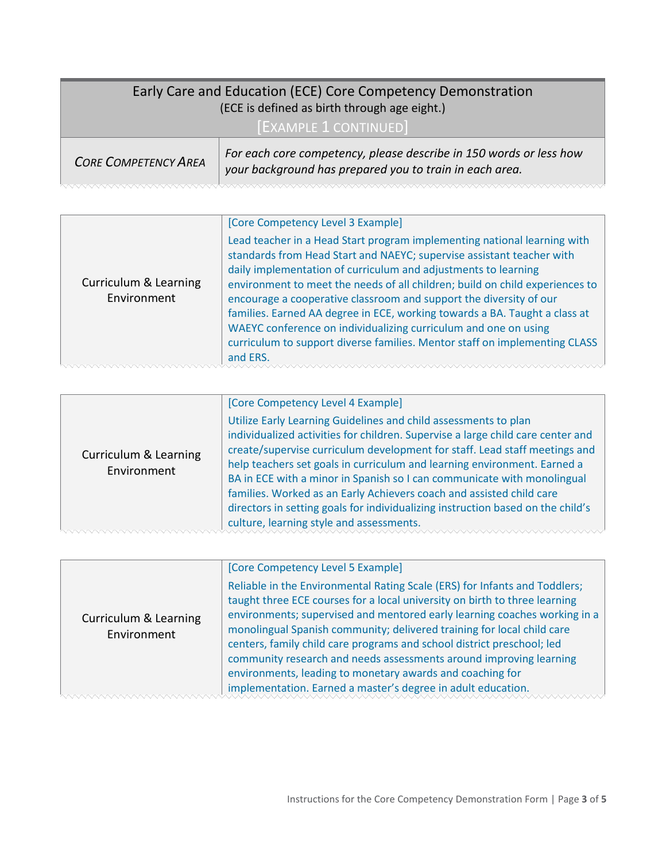| Early Care and Education (ECE) Core Competency Demonstration<br>(ECE is defined as birth through age eight.) |                                                                                                                               |
|--------------------------------------------------------------------------------------------------------------|-------------------------------------------------------------------------------------------------------------------------------|
| <b>[EXAMPLE 1 CONTINUED]</b>                                                                                 |                                                                                                                               |
| <b>CORE COMPETENCY AREA</b>                                                                                  | For each core competency, please describe in 150 words or less how<br>your background has prepared you to train in each area. |

|                                      | [Core Competency Level 3 Example]                                                                                                                                                                                                                                                                                                                                                                                                                                                                                                                                                                                    |
|--------------------------------------|----------------------------------------------------------------------------------------------------------------------------------------------------------------------------------------------------------------------------------------------------------------------------------------------------------------------------------------------------------------------------------------------------------------------------------------------------------------------------------------------------------------------------------------------------------------------------------------------------------------------|
| Curriculum & Learning<br>Environment | Lead teacher in a Head Start program implementing national learning with<br>standards from Head Start and NAEYC; supervise assistant teacher with<br>daily implementation of curriculum and adjustments to learning<br>environment to meet the needs of all children; build on child experiences to<br>encourage a cooperative classroom and support the diversity of our<br>families. Earned AA degree in ECE, working towards a BA. Taught a class at<br>WAEYC conference on individualizing curriculum and one on using<br>curriculum to support diverse families. Mentor staff on implementing CLASS<br>and ERS. |

| Utilize Early Learning Guidelines and child assessments to plan<br>individualized activities for children. Supervise a large child care center and<br>create/supervise curriculum development for staff. Lead staff meetings and<br>Curriculum & Learning<br>help teachers set goals in curriculum and learning environment. Earned a<br>Environment<br>BA in ECE with a minor in Spanish so I can communicate with monolingual<br>families. Worked as an Early Achievers coach and assisted child care<br>directors in setting goals for individualizing instruction based on the child's<br>culture, learning style and assessments. | [Core Competency Level 4 Example] |
|----------------------------------------------------------------------------------------------------------------------------------------------------------------------------------------------------------------------------------------------------------------------------------------------------------------------------------------------------------------------------------------------------------------------------------------------------------------------------------------------------------------------------------------------------------------------------------------------------------------------------------------|-----------------------------------|
|                                                                                                                                                                                                                                                                                                                                                                                                                                                                                                                                                                                                                                        |                                   |

| Curriculum & Learning<br>Environment | [Core Competency Level 5 Example]                                          |
|--------------------------------------|----------------------------------------------------------------------------|
|                                      | Reliable in the Environmental Rating Scale (ERS) for Infants and Toddlers; |
|                                      | taught three ECE courses for a local university on birth to three learning |
|                                      | environments; supervised and mentored early learning coaches working in a  |
|                                      | monolingual Spanish community; delivered training for local child care     |
|                                      | centers, family child care programs and school district preschool; led     |
|                                      | community research and needs assessments around improving learning         |
|                                      | environments, leading to monetary awards and coaching for                  |
|                                      | implementation. Earned a master's degree in adult education.               |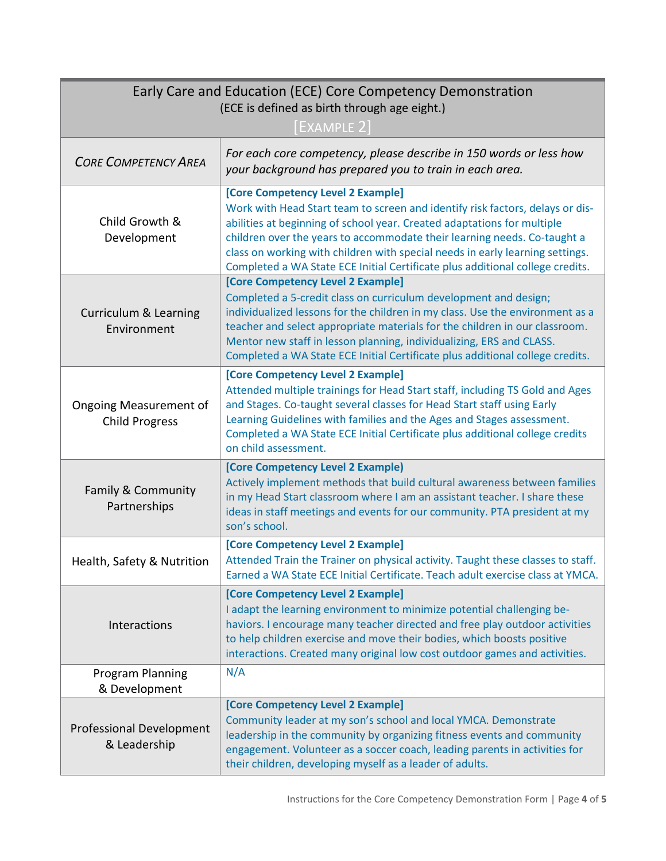| Early Care and Education (ECE) Core Competency Demonstration<br>(ECE is defined as birth through age eight.) |                                                                                                                                                                                                                                                                                                                                                                                                                                             |
|--------------------------------------------------------------------------------------------------------------|---------------------------------------------------------------------------------------------------------------------------------------------------------------------------------------------------------------------------------------------------------------------------------------------------------------------------------------------------------------------------------------------------------------------------------------------|
| <b>CORE COMPETENCY AREA</b>                                                                                  | $[$ EXAMPLE 2 $]$<br>For each core competency, please describe in 150 words or less how<br>your background has prepared you to train in each area.                                                                                                                                                                                                                                                                                          |
| Child Growth &<br>Development                                                                                | [Core Competency Level 2 Example]<br>Work with Head Start team to screen and identify risk factors, delays or dis-<br>abilities at beginning of school year. Created adaptations for multiple<br>children over the years to accommodate their learning needs. Co-taught a<br>class on working with children with special needs in early learning settings.<br>Completed a WA State ECE Initial Certificate plus additional college credits. |
| <b>Curriculum &amp; Learning</b><br>Environment                                                              | [Core Competency Level 2 Example]<br>Completed a 5-credit class on curriculum development and design;<br>individualized lessons for the children in my class. Use the environment as a<br>teacher and select appropriate materials for the children in our classroom.<br>Mentor new staff in lesson planning, individualizing, ERS and CLASS.<br>Completed a WA State ECE Initial Certificate plus additional college credits.              |
| <b>Ongoing Measurement of</b><br><b>Child Progress</b>                                                       | [Core Competency Level 2 Example]<br>Attended multiple trainings for Head Start staff, including TS Gold and Ages<br>and Stages. Co-taught several classes for Head Start staff using Early<br>Learning Guidelines with families and the Ages and Stages assessment.<br>Completed a WA State ECE Initial Certificate plus additional college credits<br>on child assessment.                                                                |
| Family & Community<br>Partnerships                                                                           | [Core Competency Level 2 Example)<br>Actively implement methods that build cultural awareness between families<br>in my Head Start classroom where I am an assistant teacher. I share these<br>ideas in staff meetings and events for our community. PTA president at my<br>son's school.                                                                                                                                                   |
| Health, Safety & Nutrition                                                                                   | [Core Competency Level 2 Example]<br>Attended Train the Trainer on physical activity. Taught these classes to staff.<br>Earned a WA State ECE Initial Certificate. Teach adult exercise class at YMCA.                                                                                                                                                                                                                                      |
| Interactions                                                                                                 | [Core Competency Level 2 Example]<br>I adapt the learning environment to minimize potential challenging be-<br>haviors. I encourage many teacher directed and free play outdoor activities<br>to help children exercise and move their bodies, which boosts positive<br>interactions. Created many original low cost outdoor games and activities.                                                                                          |
| Program Planning<br>& Development                                                                            | N/A                                                                                                                                                                                                                                                                                                                                                                                                                                         |
| <b>Professional Development</b><br>& Leadership                                                              | [Core Competency Level 2 Example]<br>Community leader at my son's school and local YMCA. Demonstrate<br>leadership in the community by organizing fitness events and community<br>engagement. Volunteer as a soccer coach, leading parents in activities for<br>their children, developing myself as a leader of adults.                                                                                                                    |